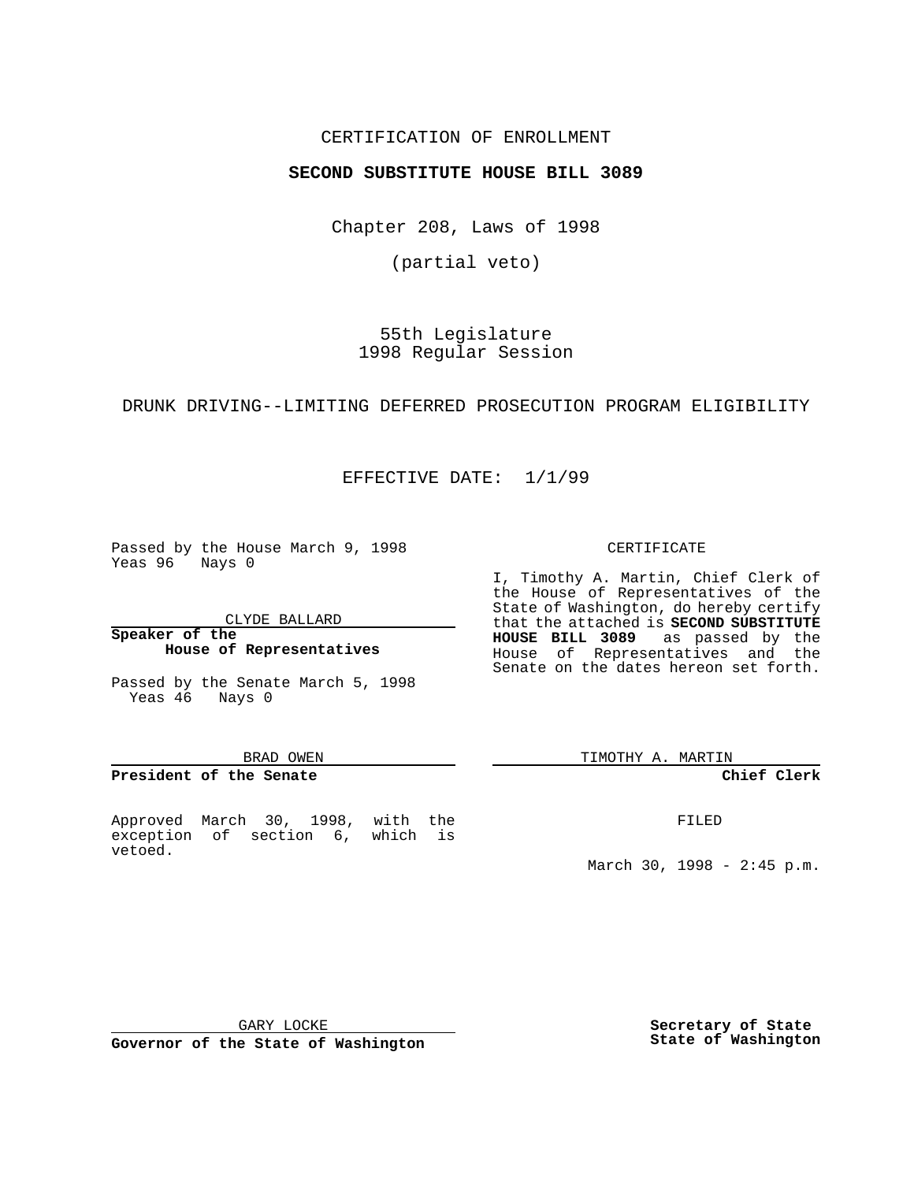# CERTIFICATION OF ENROLLMENT

# **SECOND SUBSTITUTE HOUSE BILL 3089**

Chapter 208, Laws of 1998

(partial veto)

55th Legislature 1998 Regular Session

### DRUNK DRIVING--LIMITING DEFERRED PROSECUTION PROGRAM ELIGIBILITY

EFFECTIVE DATE: 1/1/99

Passed by the House March 9, 1998 Yeas 96 Nays 0

CLYDE BALLARD

**Speaker of the House of Representatives**

Passed by the Senate March 5, 1998 Yeas 46 Nays 0

#### BRAD OWEN

### **President of the Senate**

Approved March 30, 1998, with the exception of section 6, which is vetoed.

#### CERTIFICATE

I, Timothy A. Martin, Chief Clerk of the House of Representatives of the State of Washington, do hereby certify that the attached is **SECOND SUBSTITUTE HOUSE BILL 3089** as passed by the House of Representatives and the Senate on the dates hereon set forth.

TIMOTHY A. MARTIN

# **Chief Clerk**

FILED

March 30, 1998 - 2:45 p.m.

GARY LOCKE

**Governor of the State of Washington**

**Secretary of State State of Washington**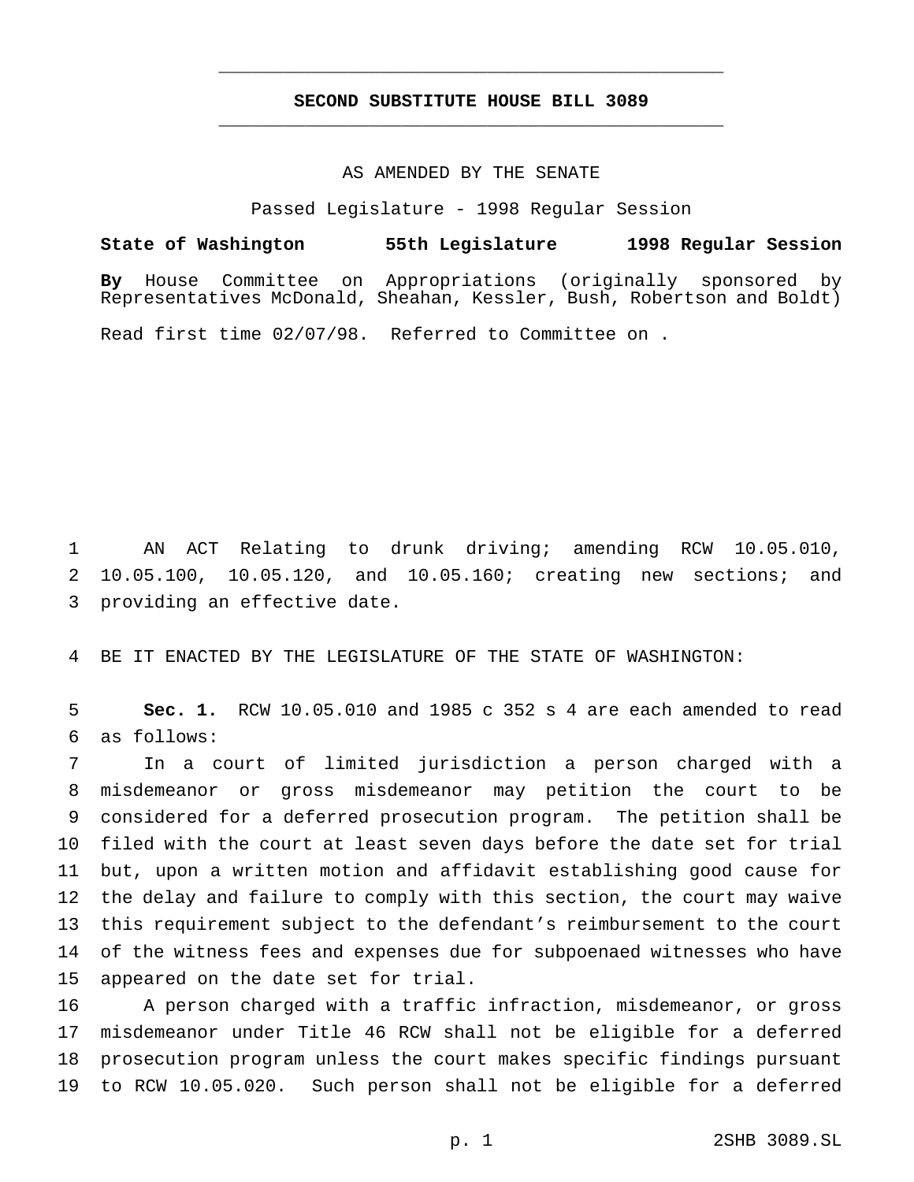# **SECOND SUBSTITUTE HOUSE BILL 3089** \_\_\_\_\_\_\_\_\_\_\_\_\_\_\_\_\_\_\_\_\_\_\_\_\_\_\_\_\_\_\_\_\_\_\_\_\_\_\_\_\_\_\_\_\_\_\_

\_\_\_\_\_\_\_\_\_\_\_\_\_\_\_\_\_\_\_\_\_\_\_\_\_\_\_\_\_\_\_\_\_\_\_\_\_\_\_\_\_\_\_\_\_\_\_

## AS AMENDED BY THE SENATE

Passed Legislature - 1998 Regular Session

**State of Washington 55th Legislature 1998 Regular Session By** House Committee on Appropriations (originally sponsored by Representatives McDonald, Sheahan, Kessler, Bush, Robertson and Boldt) Read first time 02/07/98. Referred to Committee on .

 AN ACT Relating to drunk driving; amending RCW 10.05.010, 10.05.100, 10.05.120, and 10.05.160; creating new sections; and providing an effective date.

BE IT ENACTED BY THE LEGISLATURE OF THE STATE OF WASHINGTON:

 **Sec. 1.** RCW 10.05.010 and 1985 c 352 s 4 are each amended to read as follows:

 In a court of limited jurisdiction a person charged with a misdemeanor or gross misdemeanor may petition the court to be considered for a deferred prosecution program. The petition shall be filed with the court at least seven days before the date set for trial but, upon a written motion and affidavit establishing good cause for the delay and failure to comply with this section, the court may waive this requirement subject to the defendant's reimbursement to the court of the witness fees and expenses due for subpoenaed witnesses who have appeared on the date set for trial.

 A person charged with a traffic infraction, misdemeanor, or gross misdemeanor under Title 46 RCW shall not be eligible for a deferred prosecution program unless the court makes specific findings pursuant to RCW 10.05.020. Such person shall not be eligible for a deferred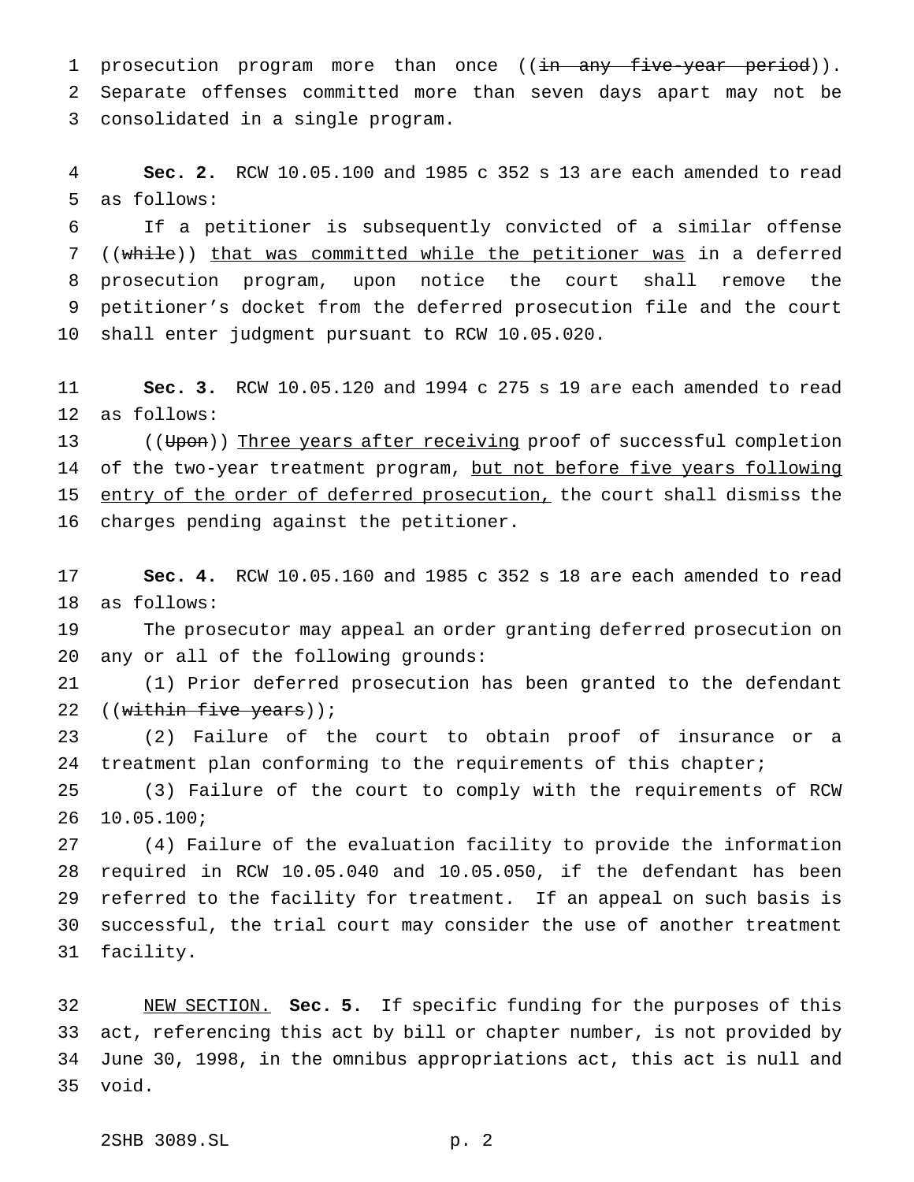1 prosecution program more than once ((in any five-year period)). Separate offenses committed more than seven days apart may not be consolidated in a single program.

 **Sec. 2.** RCW 10.05.100 and 1985 c 352 s 13 are each amended to read as follows:

 If a petitioner is subsequently convicted of a similar offense 7 ((while)) that was committed while the petitioner was in a deferred prosecution program, upon notice the court shall remove the petitioner's docket from the deferred prosecution file and the court shall enter judgment pursuant to RCW 10.05.020.

 **Sec. 3.** RCW 10.05.120 and 1994 c 275 s 19 are each amended to read as follows:

13 ((Upon)) Three years after receiving proof of successful completion 14 of the two-year treatment program, but not before five years following 15 entry of the order of deferred prosecution, the court shall dismiss the charges pending against the petitioner.

 **Sec. 4.** RCW 10.05.160 and 1985 c 352 s 18 are each amended to read as follows:

 The prosecutor may appeal an order granting deferred prosecution on any or all of the following grounds:

 (1) Prior deferred prosecution has been granted to the defendant 22 ((within five years));

 (2) Failure of the court to obtain proof of insurance or a treatment plan conforming to the requirements of this chapter;

 (3) Failure of the court to comply with the requirements of RCW 10.05.100;

 (4) Failure of the evaluation facility to provide the information required in RCW 10.05.040 and 10.05.050, if the defendant has been referred to the facility for treatment. If an appeal on such basis is successful, the trial court may consider the use of another treatment facility.

 NEW SECTION. **Sec. 5.** If specific funding for the purposes of this act, referencing this act by bill or chapter number, is not provided by June 30, 1998, in the omnibus appropriations act, this act is null and void.